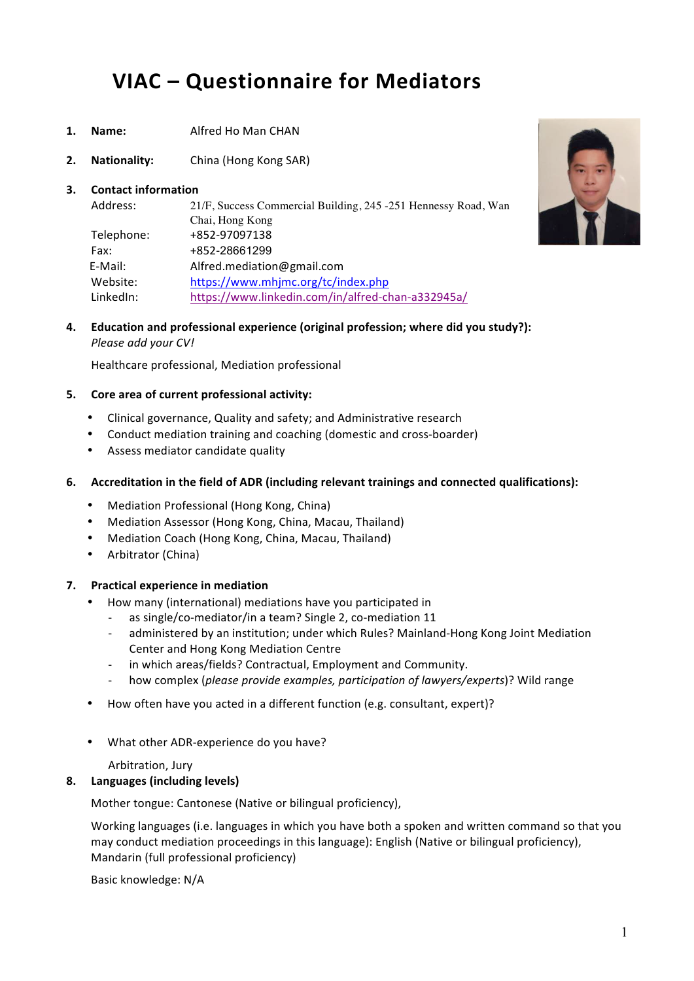# **VIAC – Questionnaire for Mediators**

- 1. **Name:** Alfred Ho Man CHAN
- **2. Nationality:** China (Hong Kong SAR)

## **3.** Contact information

| 21/F, Success Commercial Building, 245 -251 Hennessy Road, Wan |  |
|----------------------------------------------------------------|--|
| Chai, Hong Kong                                                |  |
| +852-97097138                                                  |  |
| +852-28661299                                                  |  |
| Alfred.mediation@gmail.com                                     |  |
| https://www.mhjmc.org/tc/index.php                             |  |
| https://www.linkedin.com/in/alfred-chan-a332945a/              |  |
|                                                                |  |



**4. Education** and professional experience (original profession; where did you study?): *Please add your CV!*

Healthcare professional, Mediation professional

## **5.** Core area of current professional activity:

- Clinical governance, Quality and safety: and Administrative research
- Conduct mediation training and coaching (domestic and cross-boarder)
- Assess mediator candidate quality

## **6.** Accreditation in the field of ADR (including relevant trainings and connected qualifications):

- Mediation Professional (Hong Kong, China)
- Mediation Assessor (Hong Kong, China, Macau, Thailand)
- Mediation Coach (Hong Kong, China, Macau, Thailand)
- Arbitrator (China)

# **7. Practical experience in mediation**

- How many (international) mediations have you participated in
	- as single/co-mediator/in a team? Single 2, co-mediation 11
	- administered by an institution; under which Rules? Mainland-Hong Kong Joint Mediation Center and Hong Kong Mediation Centre
	- in which areas/fields? Contractual, Employment and Community.
	- how complex (*please provide examples, participation of lawyers/experts*)? Wild range
- How often have you acted in a different function (e.g. consultant, expert)?
- What other ADR-experience do you have?

Arbitration, Jury

# **8. Languages (including levels)**

Mother tongue: Cantonese (Native or bilingual proficiency),

Working languages (i.e. languages in which you have both a spoken and written command so that you may conduct mediation proceedings in this language): English (Native or bilingual proficiency), Mandarin (full professional proficiency)

Basic knowledge: N/A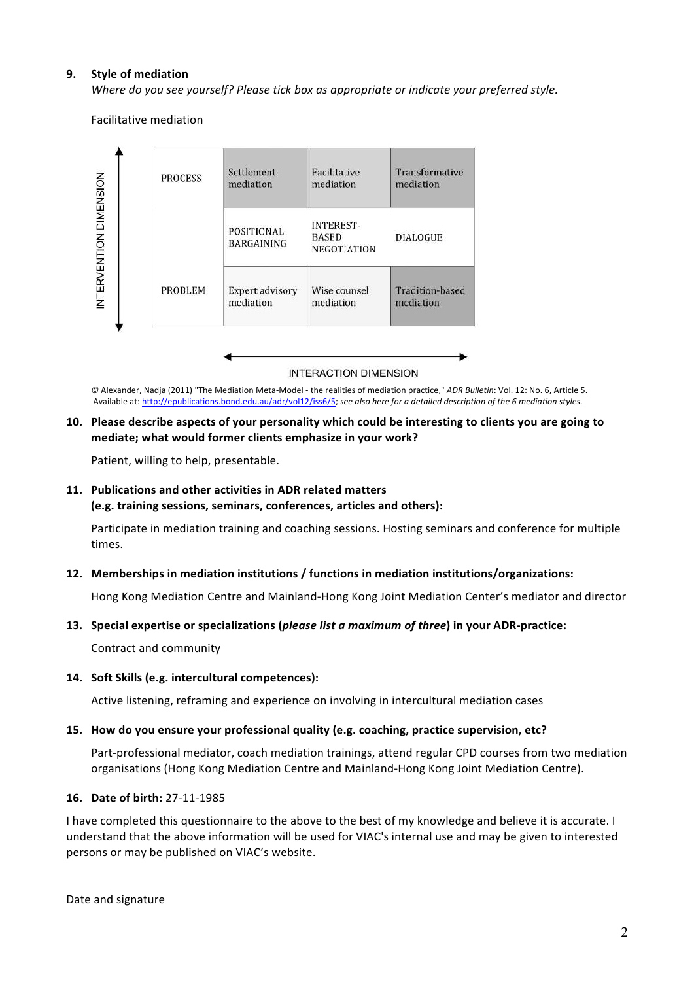## **9.** Style of mediation

*Where do you see yourself? Please tick box as appropriate or indicate your preferred style.* 

Facilitative mediation



#### **INTERACTION DIMENSION**

 $\oslash$  Alexander, Nadja (2011) "The Mediation Meta-Model - the realities of mediation practice," *ADR Bulletin*: Vol. 12: No. 6, Article 5. Available at: http://epublications.bond.edu.au/adr/vol12/iss6/5; see also here for a detailed description of the 6 mediation styles.

## **10.** Please describe aspects of your personality which could be interesting to clients you are going to **mediate;** what would former clients emphasize in your work?

Patient, willing to help, presentable.

## 11. Publications and other activities in ADR related matters

(e.g. training sessions, seminars, conferences, articles and others):

Participate in mediation training and coaching sessions. Hosting seminars and conference for multiple times.

#### **12. Memberships in mediation institutions / functions in mediation institutions/organizations:**

Hong Kong Mediation Centre and Mainland-Hong Kong Joint Mediation Center's mediator and director

#### **13.** Special expertise or specializations (please list a maximum of three) in your ADR-practice:

Contract and community

#### 14. Soft Skills (e.g. intercultural competences):

Active listening, reframing and experience on involving in intercultural mediation cases

#### 15. How do you ensure your professional quality (e.g. coaching, practice supervision, etc?

Part-professional mediator, coach mediation trainings, attend regular CPD courses from two mediation organisations (Hong Kong Mediation Centre and Mainland-Hong Kong Joint Mediation Centre).

#### **16. Date of birth:** 27-11-1985

I have completed this questionnaire to the above to the best of my knowledge and believe it is accurate. I understand that the above information will be used for VIAC's internal use and may be given to interested persons or may be published on VIAC's website.

Date and signature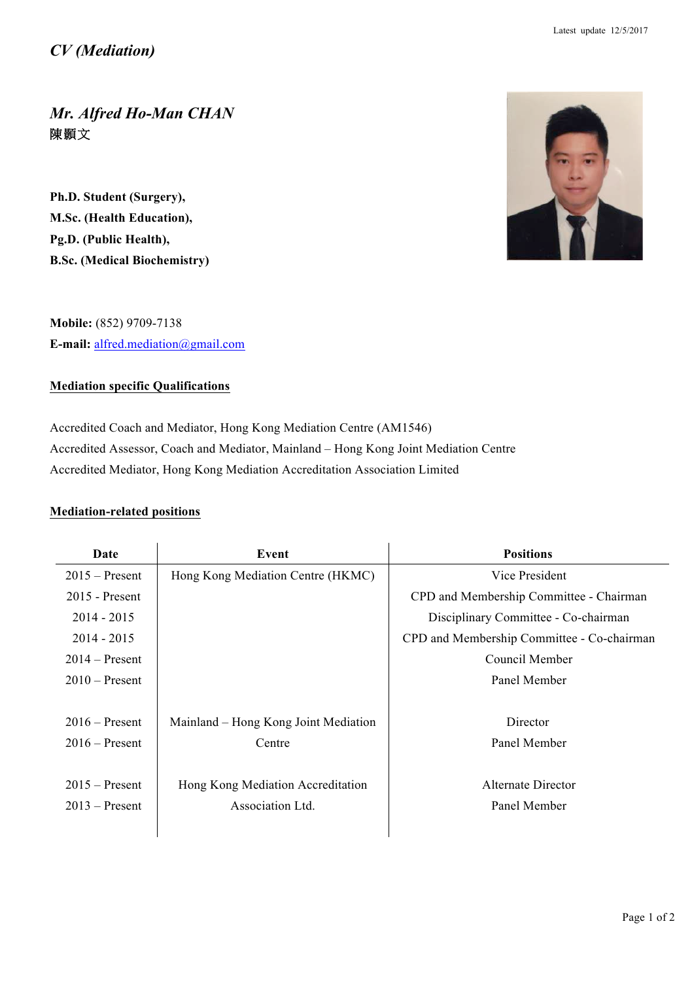*Mr. Alfred Ho-Man CHAN* 陳顥文

**Ph.D. Student (Surgery), M.Sc. (Health Education), Pg.D. (Public Health), B.Sc. (Medical Biochemistry)**



**Mobile:** (852) 9709-7138 **E-mail:** alfred.mediation@gmail.com

# **Mediation specific Qualifications**

Accredited Coach and Mediator, Hong Kong Mediation Centre (AM1546) Accredited Assessor, Coach and Mediator, Mainland – Hong Kong Joint Mediation Centre Accredited Mediator, Hong Kong Mediation Accreditation Association Limited

# **Mediation-related positions**

| Date             | Event                                | <b>Positions</b>                           |
|------------------|--------------------------------------|--------------------------------------------|
| $2015$ – Present | Hong Kong Mediation Centre (HKMC)    | Vice President                             |
| $2015$ - Present |                                      | CPD and Membership Committee - Chairman    |
| $2014 - 2015$    |                                      | Disciplinary Committee - Co-chairman       |
| $2014 - 2015$    |                                      | CPD and Membership Committee - Co-chairman |
| $2014 -$ Present |                                      | Council Member                             |
| $2010$ – Present |                                      | Panel Member                               |
|                  |                                      |                                            |
| $2016$ – Present | Mainland - Hong Kong Joint Mediation | Director                                   |
| $2016$ – Present | Centre                               | Panel Member                               |
|                  |                                      |                                            |
| $2015$ – Present | Hong Kong Mediation Accreditation    | Alternate Director                         |
| $2013$ – Present | Association Ltd.                     | Panel Member                               |
|                  |                                      |                                            |